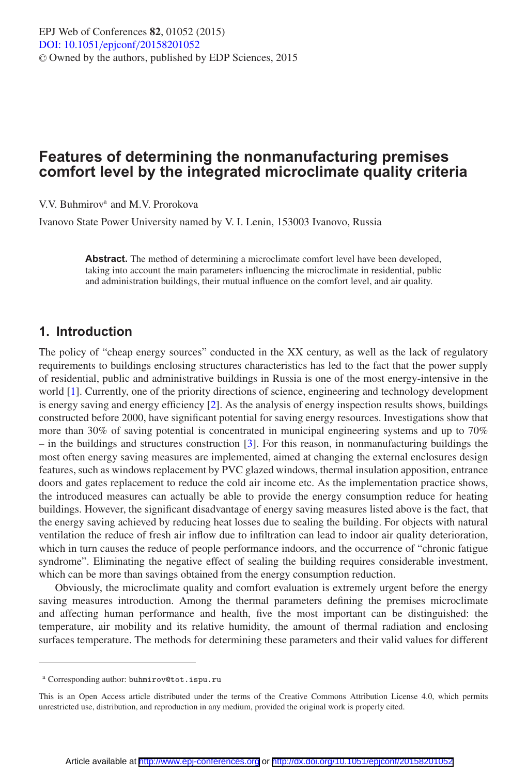# **Features of determining the nonmanufacturing premises comfort level by the integrated microclimate quality criteria**

V.V. Buhmirova and M.V. Prorokova

Ivanovo State Power University named by V. I. Lenin, 153003 Ivanovo, Russia

**Abstract.** The method of determining a microclimate comfort level have been developed, taking into account the main parameters influencing the microclimate in residential, public and administration buildings, their mutual influence on the comfort level, and air quality.

### **1. Introduction**

The policy of "cheap energy sources" conducted in the XX century, as well as the lack of regulatory requirements to buildings enclosing structures characteristics has led to the fact that the power supply of residential, public and administrative buildings in Russia is one of the most energy-intensive in the world [\[1](#page-2-0)]. Currently, one of the priority directions of science, engineering and technology development is energy saving and energy efficiency [\[2\]](#page-2-1). As the analysis of energy inspection results shows, buildings constructed before 2000, have significant potential for saving energy resources. Investigations show that more than 30% of saving potential is concentrated in municipal engineering systems and up to 70% – in the buildings and structures construction [\[3](#page-2-2)]. For this reason, in nonmanufacturing buildings the most often energy saving measures are implemented, aimed at changing the external enclosures design features, such as windows replacement by PVC glazed windows, thermal insulation apposition, entrance doors and gates replacement to reduce the cold air income etc. As the implementation practice shows, the introduced measures can actually be able to provide the energy consumption reduce for heating buildings. However, the significant disadvantage of energy saving measures listed above is the fact, that the energy saving achieved by reducing heat losses due to sealing the building. For objects with natural ventilation the reduce of fresh air inflow due to infiltration can lead to indoor air quality deterioration, which in turn causes the reduce of people performance indoors, and the occurrence of "chronic fatigue syndrome". Eliminating the negative effect of sealing the building requires considerable investment, which can be more than savings obtained from the energy consumption reduction.

Obviously, the microclimate quality and comfort evaluation is extremely urgent before the energy saving measures introduction. Among the thermal parameters defining the premises microclimate and affecting human performance and health, five the most important can be distinguished: the temperature, air mobility and its relative humidity, the amount of thermal radiation and enclosing surfaces temperature. The methods for determining these parameters and their valid values for different

<sup>a</sup> Corresponding author: buhmirov@tot.ispu.ru

This is an Open Access article distributed under the terms of the Creative Commons Attribution License 4.0, which permits unrestricted use, distribution, and reproduction in any medium, provided the original work is properly cited.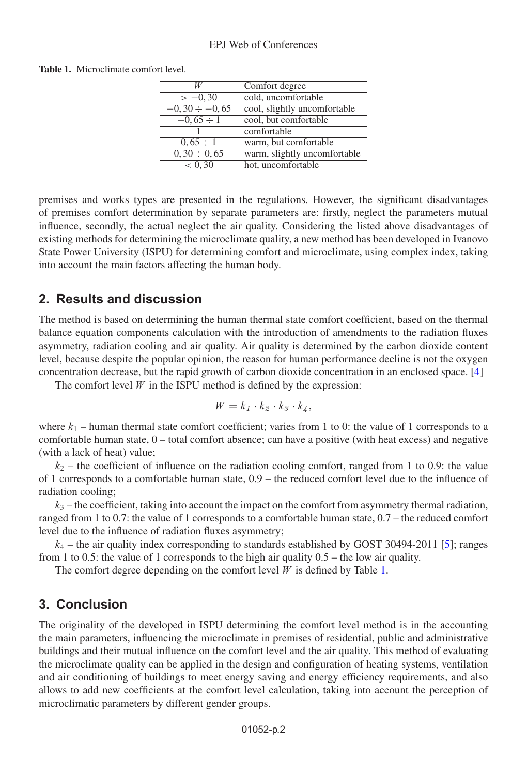### EPJ Web of Conferences

#### <span id="page-1-0"></span>**Table 1.** Microclimate comfort level.

|                      | Comfort degree               |
|----------------------|------------------------------|
| $>-0,30$             | cold, uncomfortable          |
| $-0, 30 \div -0, 65$ | cool, slightly uncomfortable |
| $-0,65 \div 1$       | cool, but comfortable        |
|                      | comfortable                  |
| $0,65 \div 1$        | warm, but comfortable        |
| $0, 30 \div 0, 65$   | warm, slightly uncomfortable |
| < 0, 30              | hot, uncomfortable           |

premises and works types are presented in the regulations. However, the significant disadvantages of premises comfort determination by separate parameters are: firstly, neglect the parameters mutual influence, secondly, the actual neglect the air quality. Considering the listed above disadvantages of existing methods for determining the microclimate quality, a new method has been developed in Ivanovo State Power University (ISPU) for determining comfort and microclimate, using complex index, taking into account the main factors affecting the human body.

## **2. Results and discussion**

The method is based on determining the human thermal state comfort coefficient, based on the thermal balance equation components calculation with the introduction of amendments to the radiation fluxes asymmetry, radiation cooling and air quality. Air quality is determined by the carbon dioxide content level, because despite the popular opinion, the reason for human performance decline is not the oxygen concentration decrease, but the rapid growth of carbon dioxide concentration in an enclosed space. [\[4\]](#page-2-3)

The comfort level  $W$  in the ISPU method is defined by the expression:

$$
W = k_1 \cdot k_2 \cdot k_3 \cdot k_4,
$$

where  $k_1$  – human thermal state comfort coefficient; varies from 1 to 0: the value of 1 corresponds to a comfortable human state, 0 – total comfort absence; can have a positive (with heat excess) and negative (with a lack of heat) value;

 $k_2$  – the coefficient of influence on the radiation cooling comfort, ranged from 1 to 0.9: the value of 1 corresponds to a comfortable human state, 0.9 – the reduced comfort level due to the influence of radiation cooling;

 $k_3$  – the coefficient, taking into account the impact on the comfort from asymmetry thermal radiation, ranged from 1 to 0.7: the value of 1 corresponds to a comfortable human state, 0.7 – the reduced comfort level due to the influence of radiation fluxes asymmetry;

 $k_4$  – the air quality index corresponding to standards established by GOST 30494-2011 [\[5\]](#page-2-4); ranges from 1 to 0.5: the value of 1 corresponds to the high air quality 0.5 – the low air quality.

The comfort degree depending on the comfort level  $W$  is defined by Table [1.](#page-1-0)

## **3. Conclusion**

The originality of the developed in ISPU determining the comfort level method is in the accounting the main parameters, influencing the microclimate in premises of residential, public and administrative buildings and their mutual influence on the comfort level and the air quality. This method of evaluating the microclimate quality can be applied in the design and configuration of heating systems, ventilation and air conditioning of buildings to meet energy saving and energy efficiency requirements, and also allows to add new coefficients at the comfort level calculation, taking into account the perception of microclimatic parameters by different gender groups.